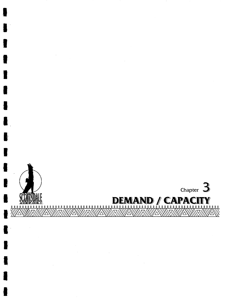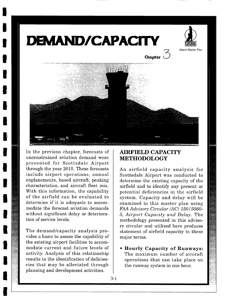





In the previous chapter, forecasts of unconstrained aviation demand were presented for Scottsdale Airport through the year 2015. These forecasts include airport operations, annual enplanements, based aircraft, peaking characteristics, and aircraft fleet mix. With this information, the capability of the airfield can be evaluated to determine if it is adequate to accommodate the forecast aviation demands without significant delay or deterioration of service levels.

The demand/capacity analysis provides a basis to assess the capability of the existing airport facilities to accommodate current and future levels of activity. Analysis of this relationship results in the identification of deficiencies that may be alleviated through planning and development activities.

## **AIRFIELD CAPACITY METHODOLOGY**

An airfield capacity analysis for Scottsdale Airport was conducted to determine the existing capacity of the airfield and to identify any present or potential deficiencies in the airfield system. Capacity and delay will be examined in this master plan using *FAA Advisory Circular (AC) 150/5060- 5, Airport Capacity and Delay.* The methodology presented in this advisory circular and utilized here produces statement of airfield capacity in these major terms.

**\* Hourly Capacity of Runways:**  The maximum number of aircraft operations that can take place on the runway system in one hour.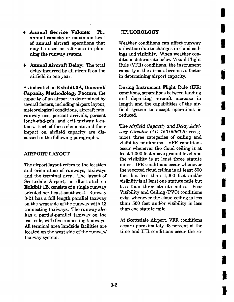- **Annual Service Volume:** The annual capacity or maximum level of annual aircraft operations that may be used as reference in planning the runway system.
- Annual **Aircraft Delay:** The total delay incurred by all aircraft on the airfield in one year.

**As indicated on Exhibit 3A, Demand/ Capacity Methodology Factors, the**  capacity of an airport is determined by several factors, including airport layout, meteorological conditions, aircraft mix, runway use, percent arrivals, percent touch-ahd-go's, and exit taxiway locations. Each of these elements and their impact on airfield capacity are discussed in the following paragraphs.

### AIRPORT LAYOUT

The airport layout refers to the location and orientation of runways, taxiways and the terminal area. The layout of Scottsdale Airport, as illustrated on Exhibit 1B, consists of a single runway oriented northeast-southwest. Runway 3-21 has a full length parallel taxiway on the west side of the runway with 13 connecting taxiways. The runway also has a partial-parallel taxiway on the east side, with five connecting taxiways. All terminal area landside facilities are located on the west side of the runway/ taxiway system.

#### **.\*ETEOROLOGY**

Weather conditions can affect runway utilization due to changes in cloud ceilings and visibility. When weather conditions deteriorate below Visual Flight Rule (VFR) conditions, the instrument capacity of the airport becomes a factor in determining airport capacity.

I

**i** 

**I** 

**I** 

**i** 

**I** 

**i** 

**I** 

**i** 

**I** 

**i** 

**I** 

**I** 

**I** 

**!** 

i

**I** 

**I** 

During Instrument Flight Rule (IFR) conditions, separations between landing and departing aircraft increase in length and the capabilities of the airfield system to accept operations is reduced.

The *Airfield Capacity and Delay Advisory Circular (AC 150/5060-5)* recognizes three categories of ceiling and visibility minimums. VFR conditions occur whenever the cloud ceiling is at least 1,000 feet above ground level and the visibility is at least three statute miles. IFR conditions occur whenever the reported cloud ceiling is at least 500 feet but less than 1,000 feet and/or visibility is at least one statute mile but less than three statute miles. Poor Visibility and Ceiling (PVC) conditions exist whenever the cloud ceiling is less than 500 feet and/or visibility is less than one statute mile.

At Scottsdale Airport, VFR conditions occur approximately 98 percent of the time and IFR conditions occur the re-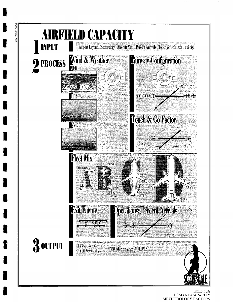

93MP13-3A-4/5/99

Exhibit 3A DEMAND/CAPACITY<br>METHODOLOGY FACTORS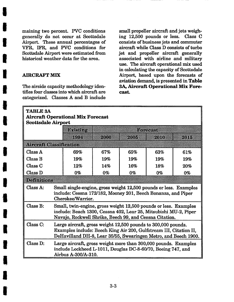maining two percent. PVC conditions generally do not occur at Scottsdale Airport. These annual percentages of VFR, IFR, and PVC conditions for Scottsdale Airport were estimated from historical weather data for the area.

### AIRCRAFT MIX

The airside capacity methodology identifies four classes into which aircraft are categorized. Classes A and B include

small propeller aircraft and jets weighing 12,500 pounds or less. Class C consists of business jets and commuter aircraft while Class D consists of turbo jet and propeller aircraft generally associated with airline and military use. The aircraft operational mix used in calculating the capacity of Scottsdale Airport, based upon the forecasts of aviation demand, is presented in Table 3A, Aircraft Operational Mix **Forecast.** 

| <b>TABLE 3A</b><br><b>Aircraft Operational Mix Forecast</b><br><b>Scottsdale Airport</b> |                                                                                                                                                                                                        |                                                                                                                                                                                                 |       |       |       |       |  |  |  |  |
|------------------------------------------------------------------------------------------|--------------------------------------------------------------------------------------------------------------------------------------------------------------------------------------------------------|-------------------------------------------------------------------------------------------------------------------------------------------------------------------------------------------------|-------|-------|-------|-------|--|--|--|--|
|                                                                                          |                                                                                                                                                                                                        | de en de                                                                                                                                                                                        | rtari |       |       |       |  |  |  |  |
|                                                                                          |                                                                                                                                                                                                        | med                                                                                                                                                                                             | rm    | pan.  | zm    | win   |  |  |  |  |
| Angelig en heilig i                                                                      |                                                                                                                                                                                                        |                                                                                                                                                                                                 |       |       |       |       |  |  |  |  |
| Class A                                                                                  |                                                                                                                                                                                                        | 69%                                                                                                                                                                                             | 67%   | 65%   | 63%   | 61%   |  |  |  |  |
| Class B                                                                                  |                                                                                                                                                                                                        | 19%                                                                                                                                                                                             | 19%   | 19%   | 19%   | 19%   |  |  |  |  |
| Class <sub>C</sub>                                                                       |                                                                                                                                                                                                        | 12%                                                                                                                                                                                             | 14%   | 16%   | 18%   | 20%   |  |  |  |  |
| Class D                                                                                  |                                                                                                                                                                                                        | $0\%$                                                                                                                                                                                           | $0\%$ | $0\%$ | $0\%$ | $0\%$ |  |  |  |  |
| Dzimikon                                                                                 |                                                                                                                                                                                                        |                                                                                                                                                                                                 |       |       |       |       |  |  |  |  |
| Class A:                                                                                 |                                                                                                                                                                                                        | Small single-engine, gross weight 12,500 pounds or less. Examples<br>include: Cessna 172/182, Mooney 201, Beech Bonanza, and Piper<br>Cherokee/Warrior.                                         |       |       |       |       |  |  |  |  |
| Class B:                                                                                 |                                                                                                                                                                                                        | Small, twin-engine, gross weight 12,500 pounds or less. Examples<br>include: Beach 1300, Cessna 402, Lear 25, Mitsubishi MU-2, Piper<br>Navajo, Rockwell Shrike, Beech 99, and Cessna Citation. |       |       |       |       |  |  |  |  |
| Class C:                                                                                 | Large aircraft, gross weight 12,500 pounds to 300,000 pounds.<br>Examples include: Beech King Air 200, Gulfstream III, Citation II,<br>DeHavilland DH-8, Lear 35/55, Swearingen Metro, and Beech 1900. |                                                                                                                                                                                                 |       |       |       |       |  |  |  |  |
| Class D:                                                                                 | Large aircraft, gross weight more than 300,000 pounds. Examples<br>include Lockheed L-1011, Douglas DC-8-60/70, Boeing 747, and<br>Airbus A-300/A-310.                                                 |                                                                                                                                                                                                 |       |       |       |       |  |  |  |  |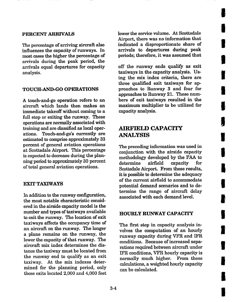### PERCENT ARRIVALS

The percentage of arriving aircraft also influences the capacity of runways. In most cases the higher the percentage of arrivals during the peak period, the arrivals equal departures for capacity analysis.

### **TOUCH-AND-GO OPERATIONS**

A touch-and-go operation refers to an aircraft which lands then makes an immediate takeoff without coming to a full stop or exiting the runway. These operations are normally associated with training and are classified as local operations. Touch-and-go's currently are estimated to comprise approximately 33 percent of general aviation operations at Scottsdale Airport. This percentage is expected to decrease during the planning period to approximately 30 percent of total general aviation operations.

### EXIT TAXIWAYS

In addition to the runway configuration, the most notable characteristic considered in the airside capacity model is the number and types of taxiways available to exit the runway. The location of exit taxiways affects the occupancy time of an aircraft on the runway. The longer a plane remains on the runway, the lower the capacity of that runway. The aircraft mix index determines the distance the taxiway must be located from the runway end to qualify as an exit taxiway. At the mix indexes determined for the planning period, only those exits located 2,000 and 4,000 feet lower the service volume. At Scottsdale Airport, there was no information that indicated a disproportionate share of arrivals to departures during peak periods; therefore, it was assumed that

**U** 

**i** 

**I** 

**l** 

**I** 

**1** 

**I** 

**!** 

**i** 

**I** 

**i** 

**I** 

**l** 

**I** 

**I** 

I

**i** 

**I** 

**I** 

off the runway ends qualify as exit taxiways in the capacity analysis. Using the mix index criteria, there are three qualified exit taxiways for approaches to Runway 3 and four for approaches to Runway 21. These numbers of exit taxiways resulted in the maximum multiplier to be utilized for capacity analysis.

# **AIRFIELD CAPACITY ANALYSIS**

The preceding information was used in conjunction with the airside capacity methodology developed by the FAA to determine airfield capacity for Scottsdale Airport. From these results, it is possible to determine the adequacy of the current airfield to accommodate potential demand scenarios and to determine the range of aircraft delay associated with each demand level.

### HOURLY RUNWAY CAPACITY

The first step in capacity analysis involves the computation of an hourly runway capacity during VFR and IFR conditions. Because of increased separations required between aircraft under IFR conditions, VFR hourly capacity is normally much higher. From these calculations, a weighted hourly capacity can be calculated.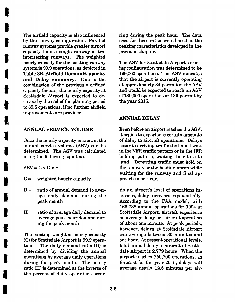The airfield capacity is also influenced by the runway configuration. Parallel runway systems provide greater airport capacity than a single runway or two intersecting runways. The weighted hourly capacity for the existing runway system is 99.9 operations, as depicted in **I Table 3B, Airfield Demand/Capacity and Delay Summary. Due to the**  combination of the previously defined capacity factors, the hourly capacity at Scottsdale Airport is expected to decrease by the end of the planning period to 89.5 operations, if no further airfield improvements are provided.

### ANNUAL SERVICE VOLUME

Once the hourly capacity is known, the annual service volume (ASV) can be determined. The ASV was calculated using the following equation.

 $ASV = C x D x H$ 

I

**!** 

**!** 

**!** 

- $C =$  weighted hourly capacity
- $D =$  ratio of annual demand to average daily demand during the peak month
- $H =$  ratio of average daily demand to average peak hour demand during the peak month

The existing weighted hourly capacity (C) for Scottsdale Airport is 99.9 operations. The daily demand ratio (D) is determined by dividing the annual operations by average daily operations during the peak month. The hourly ratio (H) is determined as the inverse of the percent of daily operations occurring during the peak hour. The data used for these ratios were based on the peaking characteristics developed in the previous chapter.

The ASV for Scottsdale Airport's existing configuration was determined to be 199,000 operations. This ASV indicates that the airport is currently operating at approximately 84 percent of the ASV and would be expected to reach an ASV of 180,000 operations or 139 percent by the year 2015.

#### ANNUAL DELAY

Even before an airport reaches the ASV, it begins to experience certain amounts of delay to aircraft operations. Delays occur to arriving traffic that must wait in the VFR traffic pattern or in the IFR holding pattern, waiting their turn to land. Departing traffic must hold on the taxiway or the holding apron while waiting for the runway and final approach to be clear.

As an airport's level of operations increases, delay increases exponentially. According to the FAA model, with 166,738 annual operations for 1994 at Scottsdale Airport, aircraft experience an average delay per aircraft operation of about one minute. At peak periods, however, delays at Scottsdale Airport can average between 30 minutes and one hour. At present operational levels, total annual delay to aircraft at Scottsdale Airport is 2,779 hours. When the airport reaches 250,700 operations, as forecast for the year 2015, delays will average nearly 12.5 minutes per air-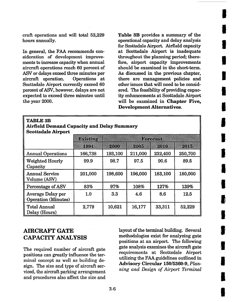craft operations and will total 52,229 hours annually.

In general, the FAA recommends consideration of development improvements to increase capacity when annual aircraft operations reach 60 percent of ASV or delays exceed three minutes per aircraft operation. Operations at Scottsdale Airport currently exceed 60 percent of ASV, however, delays are not expected to exceed three minutes **until**  the year 2000.

i **Table** 3B provides a summary of the operational capacity and delay analysis m for Scottsdale Airport. Airfield capacity **|**  at Scottsdale Airport is inadequate throughout the planning period; therefore, airport capacity improvements should be examined in the short-term. As discussed in the previous chapter, there are management policies and other issues that will need to be considered. The feasibility of providing capac**ity** enhancements at Scottsdale Airport **<sup>m</sup>** will be examined in **Chapter Five, Development Alternatives.** 

**!** 

**I** 

**I** 

**I** 

**i** 

**I** 

**!** 

I

**1** 

I

**I** 

**I** 

**I** 

| <b>TABLE 3B</b><br><b>Airfield Demand Capacity and Delay Summary</b><br><b>Scottsdale Airport</b> |          |         |                 |         |         |  |  |  |  |
|---------------------------------------------------------------------------------------------------|----------|---------|-----------------|---------|---------|--|--|--|--|
|                                                                                                   | BRISK DR |         | e o stato de la |         |         |  |  |  |  |
|                                                                                                   | 88.LB    | PANNI   | pung            | QIMI    | 2008    |  |  |  |  |
| <b>Annual Operations</b>                                                                          | 166,738  | 193,100 | 211,000         | 232,400 | 250,700 |  |  |  |  |
| <b>Weighted Hourly</b><br>Capacity                                                                | 99.9     | 98.7    | 97.5            | 90.6    | 89.5    |  |  |  |  |
| <b>Annual Service</b><br>Volume (ASV)                                                             | 201,000  | 198,600 | 196,000         | 183,100 | 180,000 |  |  |  |  |
| Percentage of ASV                                                                                 | 83%      | 97%     | 108%            | 127%    | 139%    |  |  |  |  |
| Average Delay per<br><b>Operation</b> (Minutes)                                                   | 1.0      | $3.3\,$ | 4.6             | 8.6     | 12.5    |  |  |  |  |
| <b>Total Annual</b><br>Delay (Hours)                                                              | 2,779    | 10,621  | 16,177          | 33,311  | 52,229  |  |  |  |  |

# **AIRCRAFT GATE CAPACITY ANALYSIS**

The required number of aircraft gate positions can greatly influence the terminal concept as well as building design. The size and type of aircraft serviced, the aircraft parking arrangement and procedures also affect the size and layout of the terminal building. Several methodologies exist for analyzing gate positions at an airport. The following gate analysis examines the aircraft gate requirements at Scottsdale Airport utilizing the FAA guidelines outlined in Advisory Circular 150/5360-9, *Planning and Design of Airport Terminal*